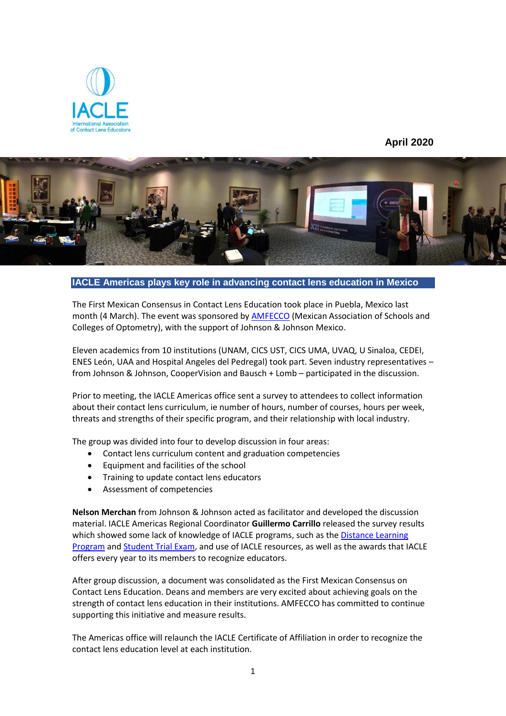

## **April 2020**



**IACLE Americas plays key role in advancing contact lens education in Mexico**

The First Mexican Consensus in Contact Lens Education took place in Puebla, Mexico last month (4 March). The event was sponsored by AMFECCO (Mexican Association of Schools and Colleges of Optometry), with the support of Johnson & Johnson Mexico.

Eleven academics from 10 institutions (UNAM, CICS UST, CICS UMA, UVAQ, U Sinaloa, CEDEI, ENES León, UAA and Hospital Angeles del Pedregal) took part. Seven industry representatives – from Johnson & Johnson, CooperVision and Bausch + Lomb – participated in the discussion.

Prior to meeting, the IACLE Americas office sent a survey to attendees to collect information about their contact lens curriculum, ie number of hours, number of courses, hours per week, threats and strengths of their specific program, and their relationship with local industry.

The group was divided into four to develop discussion in four areas:

- Contact lens curriculum content and graduation competencies
- Equipment and facilities of the school
- Training to update contact lens educators
- Assessment of competencies

**Nelson Merchan** from Johnson & Johnson acted as facilitator and developed the discussion material. IACLE Americas Regional Coordinator **Guillermo Carrillo** released the survey results which showed some lack of knowledge of IACLE programs, such as the Distance Learning Program and Student Trial Exam, and use of IACLE resources, as well as the awards that IACLE offers every year to its members to recognize educators.

After group discussion, a document was consolidated as the First Mexican Consensus on Contact Lens Education. Deans and members are very excited about achieving goals on the strength of contact lens education in their institutions. AMFECCO has committed to continue supporting this initiative and measure results.

The Americas office will relaunch the IACLE Certificate of Affiliation in order to recognize the contact lens education level at each institution.